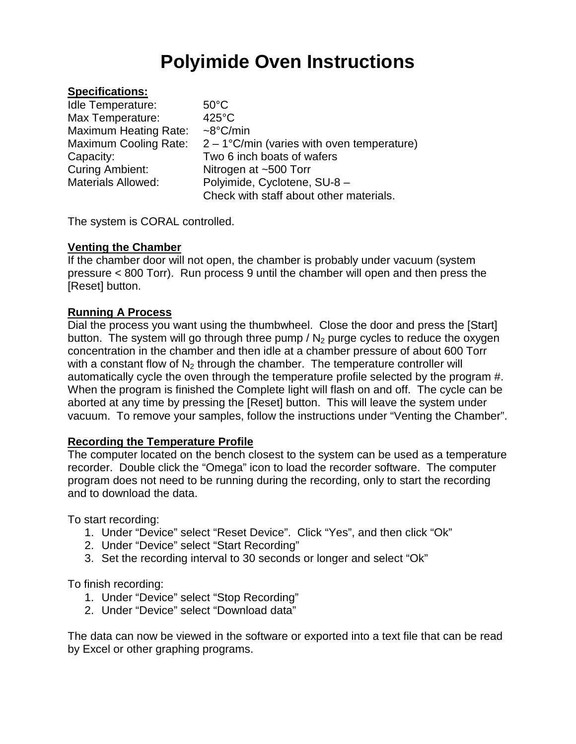## **Polyimide Oven Instructions**

#### **Specifications:**

| <b>Idle Temperature:</b>     | $50^{\circ}$ C                                |
|------------------------------|-----------------------------------------------|
| Max Temperature:             | $425^{\circ}$ C                               |
| <b>Maximum Heating Rate:</b> | $\sim8^{\circ}$ C/min                         |
| <b>Maximum Cooling Rate:</b> | $2 - 1$ °C/min (varies with oven temperature) |
| Capacity:                    | Two 6 inch boats of wafers                    |
| <b>Curing Ambient:</b>       | Nitrogen at $~500$ Torr                       |
| <b>Materials Allowed:</b>    | Polyimide, Cyclotene, SU-8 -                  |
|                              | Check with staff about other materials.       |

The system is CORAL controlled.

### **Venting the Chamber**

If the chamber door will not open, the chamber is probably under vacuum (system pressure < 800 Torr). Run process 9 until the chamber will open and then press the [Reset] button.

### **Running A Process**

Dial the process you want using the thumbwheel. Close the door and press the [Start] button. The system will go through three pump  $/N<sub>2</sub>$  purge cycles to reduce the oxygen concentration in the chamber and then idle at a chamber pressure of about 600 Torr with a constant flow of  $N_2$  through the chamber. The temperature controller will automatically cycle the oven through the temperature profile selected by the program #. When the program is finished the Complete light will flash on and off. The cycle can be aborted at any time by pressing the [Reset] button. This will leave the system under vacuum. To remove your samples, follow the instructions under "Venting the Chamber".

### **Recording the Temperature Profile**

The computer located on the bench closest to the system can be used as a temperature recorder. Double click the "Omega" icon to load the recorder software. The computer program does not need to be running during the recording, only to start the recording and to download the data.

To start recording:

- 1. Under "Device" select "Reset Device". Click "Yes", and then click "Ok"
- 2. Under "Device" select "Start Recording"
- 3. Set the recording interval to 30 seconds or longer and select "Ok"

To finish recording:

- 1. Under "Device" select "Stop Recording"
- 2. Under "Device" select "Download data"

The data can now be viewed in the software or exported into a text file that can be read by Excel or other graphing programs.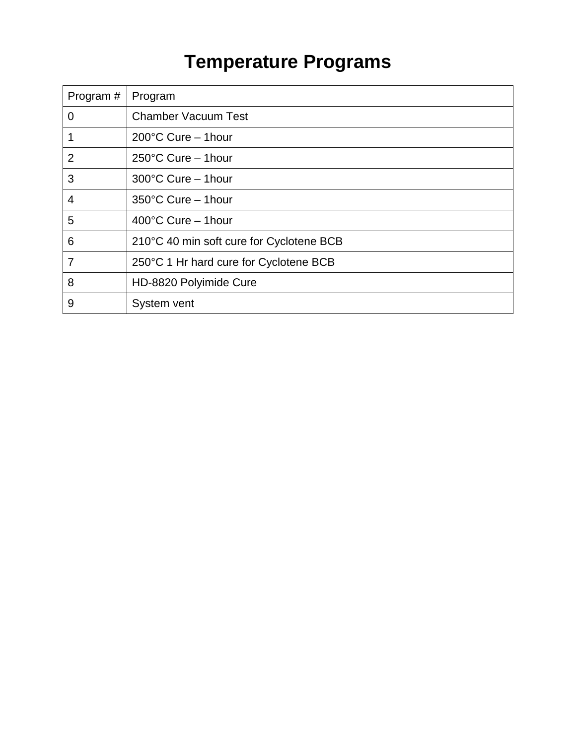# **Temperature Programs**

| Program#       | Program                                  |
|----------------|------------------------------------------|
| $\mathbf 0$    | <b>Chamber Vacuum Test</b>               |
|                | 200°C Cure - 1hour                       |
| $\overline{2}$ | $250^{\circ}$ C Cure - 1hour             |
| 3              | 300°C Cure - 1hour                       |
| 4              | 350°C Cure - 1hour                       |
| 5              | $400^{\circ}$ C Cure - 1hour             |
| 6              | 210°C 40 min soft cure for Cyclotene BCB |
| 7              | 250°C 1 Hr hard cure for Cyclotene BCB   |
| 8              | HD-8820 Polyimide Cure                   |
| 9              | System vent                              |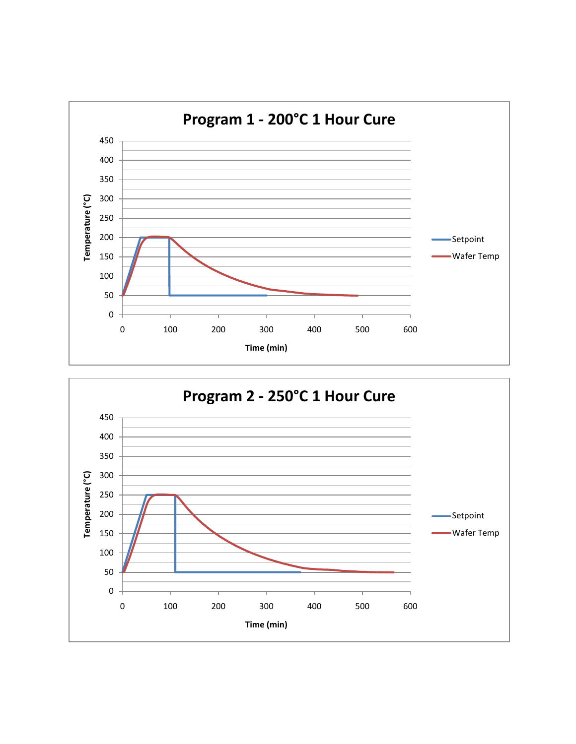

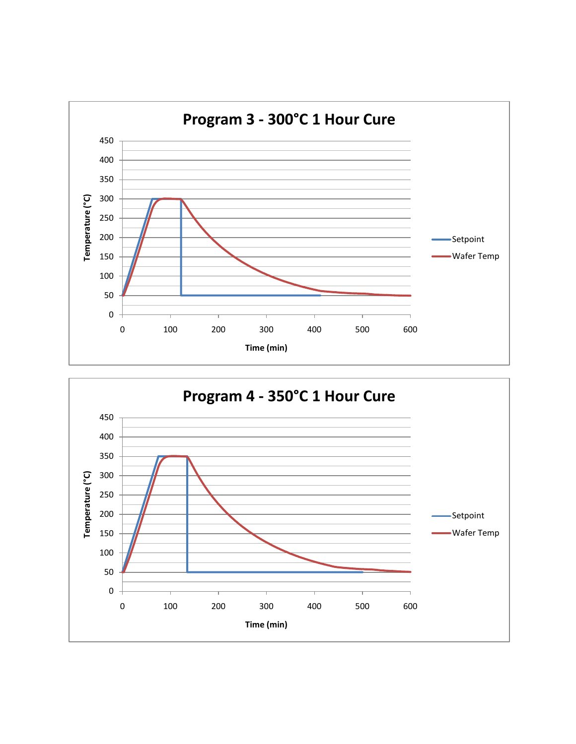

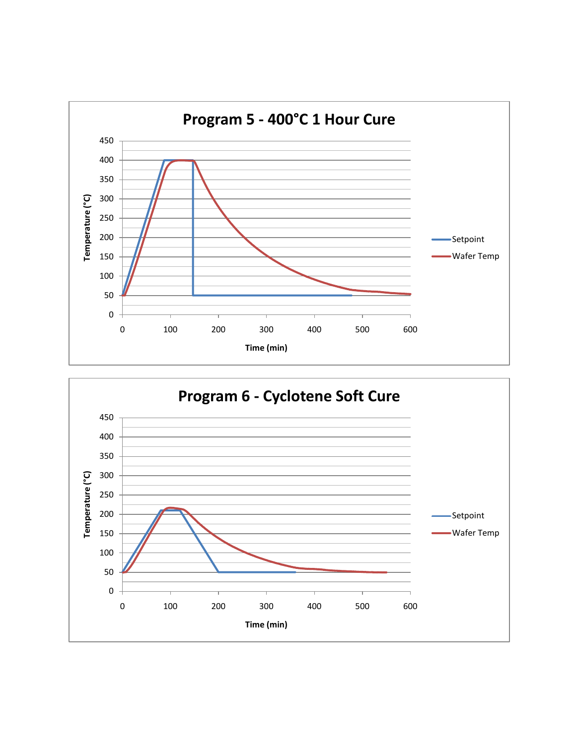